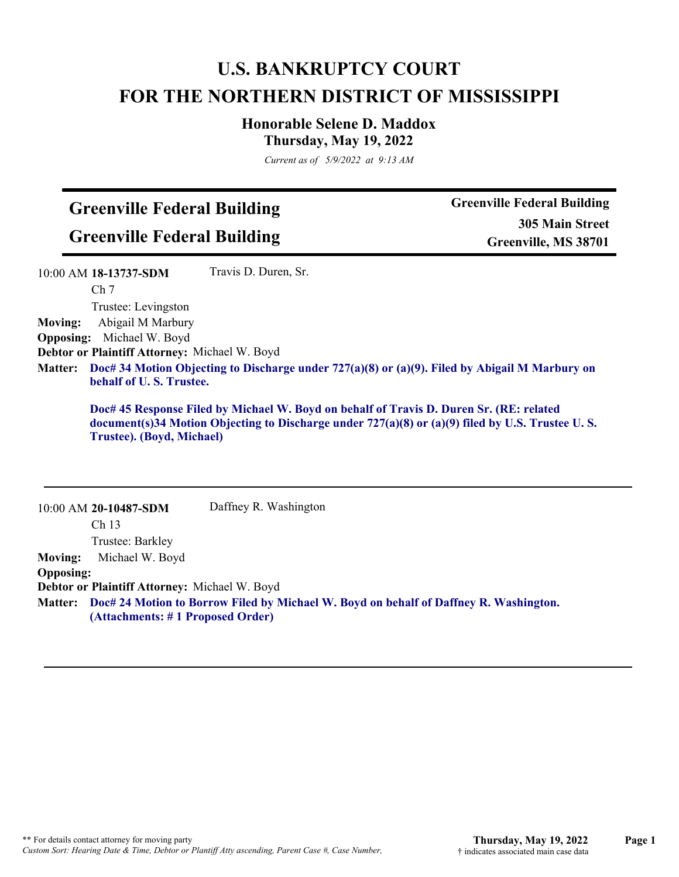## **U.S. BANKRUPTCY COURT FOR THE NORTHERN DISTRICT OF MISSISSIPPI**

## **Honorable Selene D. Maddox Thursday, May 19, 2022**

*Current as of 5/9/2022 at 9:13 AM*

## **Greenville Federal Building**

**Greenville Federal Building**

10:00 AM **20-10487-SDM** 

**Greenville Federal Building 305 Main Street Greenville, MS 38701**

|                | 10:00 AM 18-13737-SDM                                                                                                                                                                                                        | Travis D. Duren, Sr. |  |
|----------------|------------------------------------------------------------------------------------------------------------------------------------------------------------------------------------------------------------------------------|----------------------|--|
|                | Ch <sub>7</sub>                                                                                                                                                                                                              |                      |  |
|                | Trustee: Levingston                                                                                                                                                                                                          |                      |  |
| <b>Moving:</b> | Abigail M Marbury                                                                                                                                                                                                            |                      |  |
|                | <b>Opposing:</b> Michael W. Boyd                                                                                                                                                                                             |                      |  |
|                | Debtor or Plaintiff Attorney: Michael W. Boyd                                                                                                                                                                                |                      |  |
| <b>Matter:</b> | Doc# 34 Motion Objecting to Discharge under 727(a)(8) or (a)(9). Filed by Abigail M Marbury on<br>behalf of U.S. Trustee.                                                                                                    |                      |  |
|                | Doc# 45 Response Filed by Michael W. Boyd on behalf of Travis D. Duren Sr. (RE: related<br>document(s)34 Motion Objecting to Discharge under $727(a)(8)$ or $(a)(9)$ filed by U.S. Trustee U.S.<br>Trustee). (Boyd, Michael) |                      |  |
|                |                                                                                                                                                                                                                              |                      |  |
|                |                                                                                                                                                                                                                              |                      |  |

|                  | Ch <sub>13</sub>                                                                                                                  |
|------------------|-----------------------------------------------------------------------------------------------------------------------------------|
|                  | Trustee: Barkley                                                                                                                  |
| <b>Moving:</b>   | Michael W. Boyd                                                                                                                   |
| <b>Opposing:</b> |                                                                                                                                   |
|                  | <b>Debtor or Plaintiff Attorney: Michael W. Boyd</b>                                                                              |
|                  | Matter: Doc# 24 Motion to Borrow Filed by Michael W. Boyd on behalf of Daffney R. Washington.<br>(Attachments: #1 Proposed Order) |
|                  |                                                                                                                                   |

Daffney R. Washington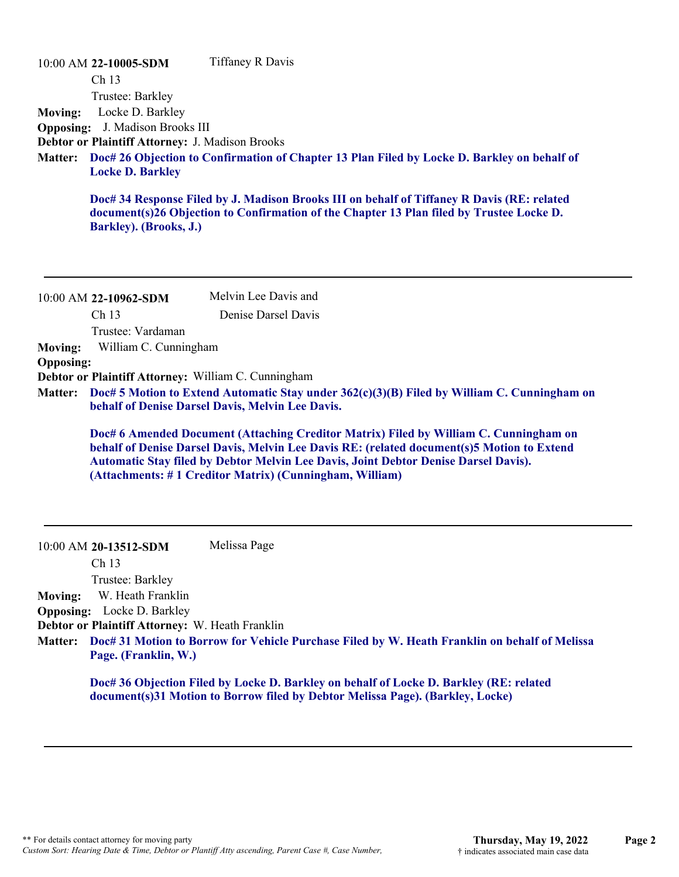|                                  | 10:00 AM 22-10005-SDM                                                                                                                                 | <b>Tiffaney R Davis</b>                                                                                                                                                                                  |
|----------------------------------|-------------------------------------------------------------------------------------------------------------------------------------------------------|----------------------------------------------------------------------------------------------------------------------------------------------------------------------------------------------------------|
| <b>Moving:</b><br><b>Matter:</b> | Ch <sub>13</sub><br>Trustee: Barkley<br>Locke D. Barkley<br><b>Opposing:</b> J. Madison Brooks III<br>Debtor or Plaintiff Attorney: J. Madison Brooks | Doc# 26 Objection to Confirmation of Chapter 13 Plan Filed by Locke D. Barkley on behalf of                                                                                                              |
|                                  | <b>Locke D. Barkley</b><br>Barkley). (Brooks, J.)                                                                                                     | Doc# 34 Response Filed by J. Madison Brooks III on behalf of Tiffaney R Davis (RE: related<br>document(s)26 Objection to Confirmation of the Chapter 13 Plan filed by Trustee Locke D.                   |
|                                  | 10:00 AM 22-10962-SDM                                                                                                                                 | Melvin Lee Davis and                                                                                                                                                                                     |
|                                  | Ch 13                                                                                                                                                 | Denise Darsel Davis                                                                                                                                                                                      |
|                                  | Trustee: Vardaman                                                                                                                                     |                                                                                                                                                                                                          |
|                                  |                                                                                                                                                       |                                                                                                                                                                                                          |
| <b>Moving:</b>                   | William C. Cunningham                                                                                                                                 |                                                                                                                                                                                                          |
| <b>Opposing:</b>                 |                                                                                                                                                       |                                                                                                                                                                                                          |
| <b>Matter:</b>                   |                                                                                                                                                       | Debtor or Plaintiff Attorney: William C. Cunningham<br>Doc# 5 Motion to Extend Automatic Stay under $362(c)(3)(B)$ Filed by William C. Cunningham on<br>behalf of Denise Darsel Davis, Melvin Lee Davis. |

Ch 13 Trustee: Barkley

**Moving:** W. Heath Franklin

**Opposing:** Locke D. Barkley

**Debtor or Plaintiff Attorney:** W. Heath Franklin

**Doc# 31 Motion to Borrow for Vehicle Purchase Filed by W. Heath Franklin on behalf of Melissa Matter: Page. (Franklin, W.)**

**Doc# 36 Objection Filed by Locke D. Barkley on behalf of Locke D. Barkley (RE: related document(s)31 Motion to Borrow filed by Debtor Melissa Page). (Barkley, Locke)**